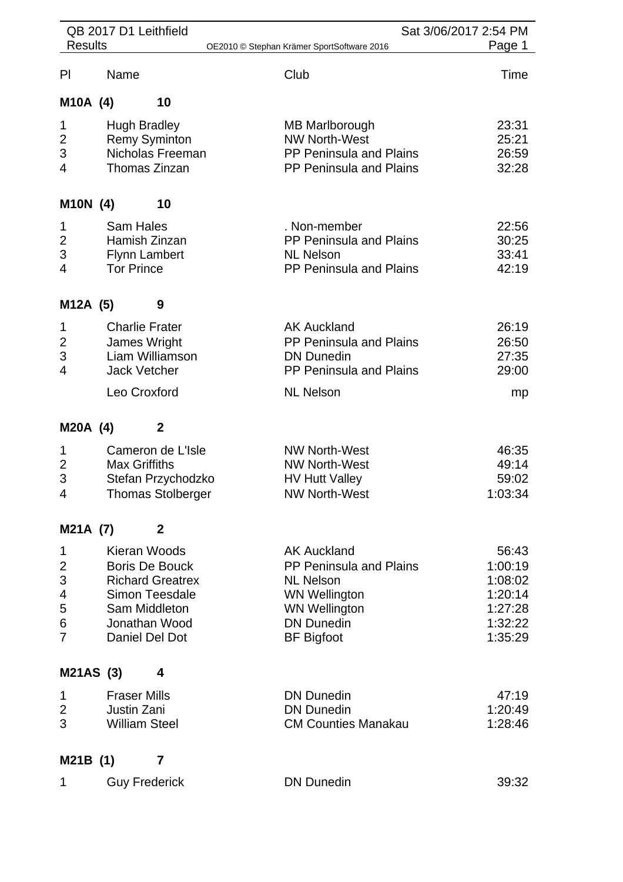|                         | QB 2017 D1 Leithfield           |                                            | Sat 3/06/2017 2:54 PM |
|-------------------------|---------------------------------|--------------------------------------------|-----------------------|
| <b>Results</b>          |                                 | OE2010 © Stephan Krämer SportSoftware 2016 | Page 1                |
| P <sub>l</sub>          | Name                            | Club                                       | Time                  |
| M10A (4)                | 10                              |                                            |                       |
| 1                       | <b>Hugh Bradley</b>             | <b>MB Marlborough</b>                      | 23:31                 |
| $\overline{\mathbf{c}}$ | <b>Remy Syminton</b>            | <b>NW North-West</b>                       | 25:21                 |
| 3                       | Nicholas Freeman                | <b>PP Peninsula and Plains</b>             | 26:59                 |
| 4                       | Thomas Zinzan                   | PP Peninsula and Plains                    | 32:28                 |
| M10N (4)                | 10                              |                                            |                       |
| 1                       | <b>Sam Hales</b>                | . Non-member                               | 22:56                 |
| $\overline{c}$          | Hamish Zinzan                   | PP Peninsula and Plains                    | 30:25                 |
| 3                       | <b>Flynn Lambert</b>            | <b>NL Nelson</b>                           | 33:41                 |
| 4                       | <b>Tor Prince</b>               | PP Peninsula and Plains                    | 42:19                 |
| M12A (5)                | 9                               |                                            |                       |
| 1                       | <b>Charlie Frater</b>           | <b>AK Auckland</b>                         | 26:19                 |
| $\overline{2}$          | James Wright                    | PP Peninsula and Plains                    | 26:50                 |
| 3                       | Liam Williamson                 | <b>DN Dunedin</b>                          | 27:35                 |
| 4                       | <b>Jack Vetcher</b>             | PP Peninsula and Plains                    | 29:00                 |
|                         | Leo Croxford                    | <b>NL Nelson</b>                           | mp                    |
| M20A (4)                | $\boldsymbol{2}$                |                                            |                       |
| 1                       | Cameron de L'Isle               | <b>NW North-West</b>                       | 46:35                 |
| $\overline{c}$          | <b>Max Griffiths</b>            | <b>NW North-West</b>                       | 49:14                 |
| 3                       | Stefan Przychodzko              | <b>HV Hutt Valley</b>                      | 59:02                 |
| 4                       | <b>Thomas Stolberger</b>        | <b>NW North-West</b>                       | 1:03:34               |
| M21A (7)                | $\mathbf{2}$                    |                                            |                       |
| 1                       | Kieran Woods                    | <b>AK Auckland</b>                         | 56:43                 |
| $\overline{c}$          | <b>Boris De Bouck</b>           | PP Peninsula and Plains                    | 1:00:19               |
| 3                       | <b>Richard Greatrex</b>         | <b>NL Nelson</b>                           | 1:08:02               |
| 4                       | <b>Simon Teesdale</b>           | <b>WN Wellington</b>                       | 1:20:14               |
| 5                       | Sam Middleton                   | <b>WN Wellington</b>                       | 1:27:28               |
| 6<br>7                  | Jonathan Wood<br>Daniel Del Dot | <b>DN Dunedin</b><br><b>BF</b> Bigfoot     | 1:32:22<br>1:35:29    |
|                         |                                 |                                            |                       |
| M21AS (3)               | 4                               |                                            |                       |
| 1                       | <b>Fraser Mills</b>             | <b>DN Dunedin</b>                          | 47:19                 |
| 2                       | <b>Justin Zani</b>              | <b>DN Dunedin</b>                          | 1:20:49               |
| 3                       | <b>William Steel</b>            | <b>CM Counties Manakau</b>                 | 1:28:46               |
| M21B (1)                | 7                               |                                            |                       |
| 1                       | <b>Guy Frederick</b>            | <b>DN Dunedin</b>                          | 39:32                 |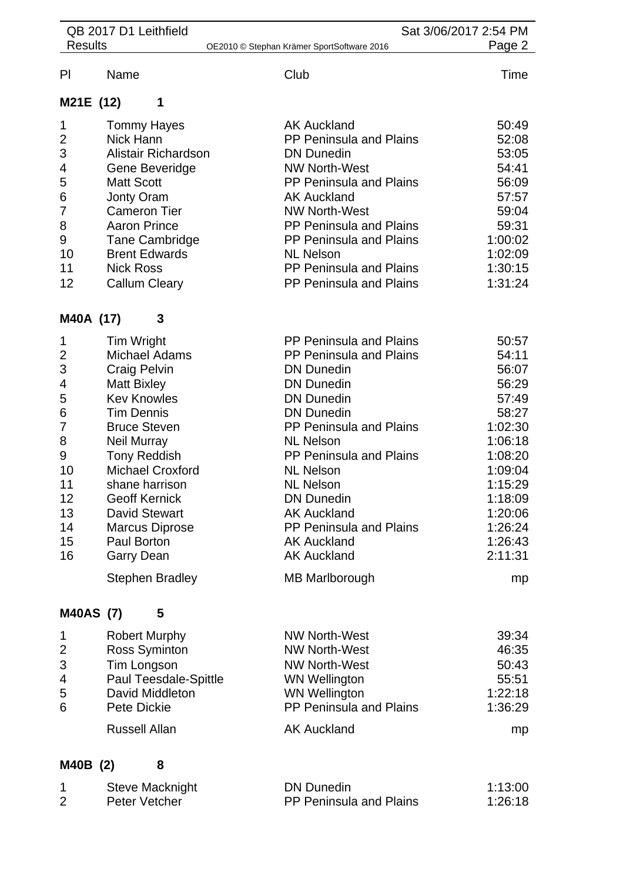| <b>Results</b>   |                         |                                            | Sat 3/06/2017 2:54 PM |  |
|------------------|-------------------------|--------------------------------------------|-----------------------|--|
|                  |                         | OE2010 © Stephan Krämer SportSoftware 2016 | Page 2                |  |
| PI               | Name                    | Club                                       | Time                  |  |
| M21E (12)        | 1                       |                                            |                       |  |
| 1                | <b>Tommy Hayes</b>      | <b>AK Auckland</b>                         | 50:49                 |  |
| $\overline{c}$   | Nick Hann               | PP Peninsula and Plains                    | 52:08                 |  |
| 3                | Alistair Richardson     | <b>DN Dunedin</b>                          | 53:05                 |  |
| 4                | Gene Beveridge          | <b>NW North-West</b>                       | 54:41                 |  |
| 5                | <b>Matt Scott</b>       | <b>PP Peninsula and Plains</b>             | 56:09                 |  |
| 6                | Jonty Oram              | <b>AK Auckland</b>                         | 57:57                 |  |
| 7                | <b>Cameron Tier</b>     | <b>NW North-West</b>                       | 59:04                 |  |
| 8                | <b>Aaron Prince</b>     | PP Peninsula and Plains                    | 59:31                 |  |
| 9                | <b>Tane Cambridge</b>   | PP Peninsula and Plains                    | 1:00:02               |  |
| 10               | <b>Brent Edwards</b>    | <b>NL Nelson</b>                           | 1:02:09               |  |
| 11               | <b>Nick Ross</b>        | PP Peninsula and Plains                    | 1:30:15               |  |
| 12               | <b>Callum Cleary</b>    | <b>PP Peninsula and Plains</b>             | 1:31:24               |  |
| M40A (17)        | 3                       |                                            |                       |  |
| 1                | Tim Wright              | <b>PP Peninsula and Plains</b>             | 50:57                 |  |
| $\overline{2}$   | Michael Adams           | <b>PP Peninsula and Plains</b>             | 54:11                 |  |
| 3                | <b>Craig Pelvin</b>     | <b>DN Dunedin</b>                          | 56:07                 |  |
| 4                | <b>Matt Bixley</b>      | <b>DN Dunedin</b>                          | 56:29                 |  |
| 5                | <b>Kev Knowles</b>      | <b>DN Dunedin</b>                          | 57:49                 |  |
| 6                | <b>Tim Dennis</b>       | <b>DN Dunedin</b>                          | 58:27                 |  |
| $\overline{7}$   | <b>Bruce Steven</b>     | PP Peninsula and Plains                    | 1:02:30               |  |
| 8                | <b>Neil Murray</b>      | <b>NL Nelson</b>                           | 1:06:18               |  |
| 9                | <b>Tony Reddish</b>     | <b>PP Peninsula and Plains</b>             | 1:08:20               |  |
| 10               | <b>Michael Croxford</b> | <b>NL Nelson</b>                           | 1:09:04               |  |
| 11               | shane harrison          | NL Nelson                                  | 1:15:29               |  |
| 12               | <b>Geoff Kernick</b>    | <b>DN Dunedin</b>                          | 1:18:09               |  |
| 13               | <b>David Stewart</b>    | <b>AK Auckland</b>                         | 1:20:06               |  |
| 14               | <b>Marcus Diprose</b>   | PP Peninsula and Plains                    | 1:26:24               |  |
| 15               | Paul Borton             | <b>AK Auckland</b>                         | 1:26:43               |  |
| 16               | <b>Garry Dean</b>       | <b>AK Auckland</b>                         | 2:11:31               |  |
|                  | <b>Stephen Bradley</b>  | <b>MB Marlborough</b>                      | mp                    |  |
| <b>M40AS (7)</b> | 5                       |                                            |                       |  |
| 1                | <b>Robert Murphy</b>    | <b>NW North-West</b>                       | 39:34                 |  |
| 2                | Ross Syminton           | <b>NW North-West</b>                       | 46:35                 |  |
| 3                | Tim Longson             | <b>NW North-West</b>                       | 50:43                 |  |
| 4                | Paul Teesdale-Spittle   | <b>WN Wellington</b>                       | 55:51                 |  |
| 5                | David Middleton         | <b>WN Wellington</b>                       | 1:22:18               |  |
| 6                | <b>Pete Dickie</b>      | PP Peninsula and Plains                    | 1:36:29               |  |
|                  | <b>Russell Allan</b>    | <b>AK Auckland</b>                         | mp                    |  |

| Steve Macknight | DN Dunedin                     | 1:13:00 |
|-----------------|--------------------------------|---------|
| Peter Vetcher   | <b>PP Peninsula and Plains</b> | 1:26:18 |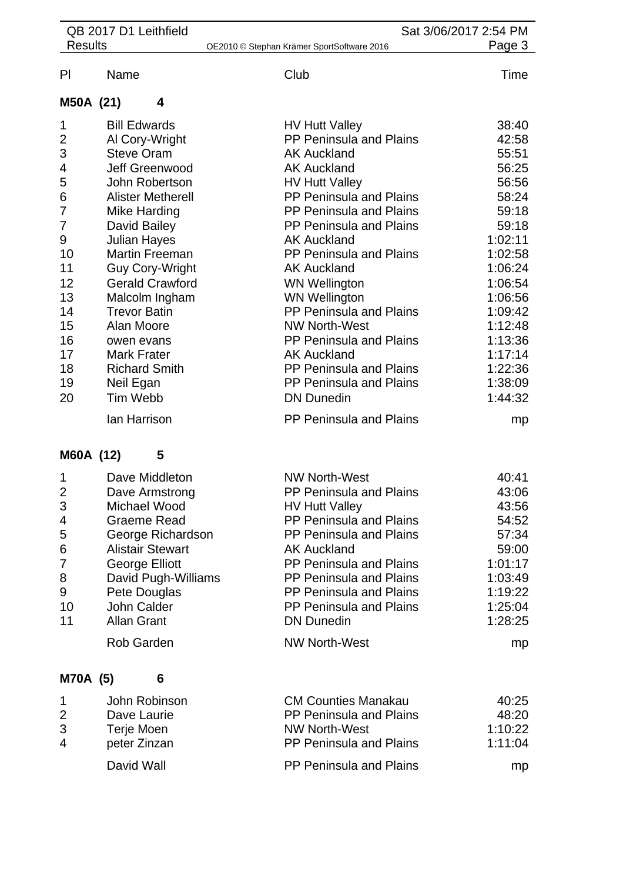|                | QB 2017 D1 Leithfield                      |                                                         | Sat 3/06/2017 2:54 PM |
|----------------|--------------------------------------------|---------------------------------------------------------|-----------------------|
| <b>Results</b> |                                            | OE2010 © Stephan Krämer SportSoftware 2016              | Page 3                |
| PI             | Name                                       | Club                                                    | Time                  |
| M50A (21)      | 4                                          |                                                         |                       |
| 1              | <b>Bill Edwards</b>                        | <b>HV Hutt Valley</b>                                   | 38:40                 |
| $\overline{c}$ | Al Cory-Wright                             | PP Peninsula and Plains                                 | 42:58                 |
| 3              | <b>Steve Oram</b>                          | <b>AK Auckland</b>                                      | 55:51                 |
| 4              | Jeff Greenwood                             | <b>AK Auckland</b>                                      | 56:25                 |
| 5              | John Robertson                             | <b>HV Hutt Valley</b>                                   | 56:56                 |
| 6              | <b>Alister Metherell</b>                   | PP Peninsula and Plains                                 | 58:24                 |
| 7              | <b>Mike Harding</b>                        | <b>PP Peninsula and Plains</b>                          | 59:18                 |
| 7              | David Bailey                               | <b>PP Peninsula and Plains</b>                          | 59:18                 |
| 9              | <b>Julian Hayes</b>                        | <b>AK Auckland</b>                                      | 1:02:11               |
| 10             | <b>Martin Freeman</b>                      | <b>PP Peninsula and Plains</b>                          | 1:02:58               |
| 11             | <b>Guy Cory-Wright</b>                     | <b>AK Auckland</b>                                      | 1:06:24               |
| 12             | <b>Gerald Crawford</b>                     | <b>WN Wellington</b>                                    | 1:06:54               |
| 13             | Malcolm Ingham                             | <b>WN Wellington</b>                                    | 1:06:56               |
| 14             | <b>Trevor Batin</b>                        | PP Peninsula and Plains                                 | 1:09:42               |
| 15             | Alan Moore                                 | <b>NW North-West</b>                                    | 1:12:48               |
| 16             | owen evans                                 | <b>PP Peninsula and Plains</b>                          | 1:13:36               |
| 17<br>18       | <b>Mark Frater</b><br><b>Richard Smith</b> | <b>AK Auckland</b><br>PP Peninsula and Plains           | 1:17:14<br>1:22:36    |
| 19             | Neil Egan                                  | PP Peninsula and Plains                                 | 1:38:09               |
| 20             | <b>Tim Webb</b>                            | <b>DN Dunedin</b>                                       | 1:44:32               |
|                | lan Harrison                               | <b>PP Peninsula and Plains</b>                          | mp                    |
| M60A (12)      | 5                                          |                                                         |                       |
|                |                                            |                                                         |                       |
| 1              | Dave Middleton                             | <b>NW North-West</b>                                    | 40:41                 |
| 2<br>3         | Dave Armstrong<br>Michael Wood             | <b>PP Peninsula and Plains</b><br><b>HV Hutt Valley</b> | 43:06<br>43:56        |
| 4              | <b>Graeme Read</b>                         | PP Peninsula and Plains                                 | 54:52                 |
| 5              | George Richardson                          | PP Peninsula and Plains                                 | 57:34                 |
| 6              | <b>Alistair Stewart</b>                    | <b>AK Auckland</b>                                      | 59:00                 |
| 7              | <b>George Elliott</b>                      | PP Peninsula and Plains                                 | 1:01:17               |
| 8              | David Pugh-Williams                        | PP Peninsula and Plains                                 | 1:03:49               |
| 9              | Pete Douglas                               | <b>PP Peninsula and Plains</b>                          | 1:19:22               |
| 10             | <b>John Calder</b>                         | <b>PP Peninsula and Plains</b>                          | 1:25:04               |
| 11             | <b>Allan Grant</b>                         | <b>DN Dunedin</b>                                       | 1:28:25               |
|                | Rob Garden                                 | <b>NW North-West</b>                                    | mp                    |
| M70A (5)       | 6                                          |                                                         |                       |
|                | John Robinson                              | <b>CM Counties Manakau</b>                              | 40:25                 |
| 1<br>2         | Dave Laurie                                | <b>PP Peninsula and Plains</b>                          | 48:20                 |
| 3              | Terje Moen                                 | <b>NW North-West</b>                                    | 1:10:22               |
| $\overline{4}$ | peter Zinzan                               | <b>PP Peninsula and Plains</b>                          | 1:11:04               |
|                | David Wall                                 | <b>PP Peninsula and Plains</b>                          | mp                    |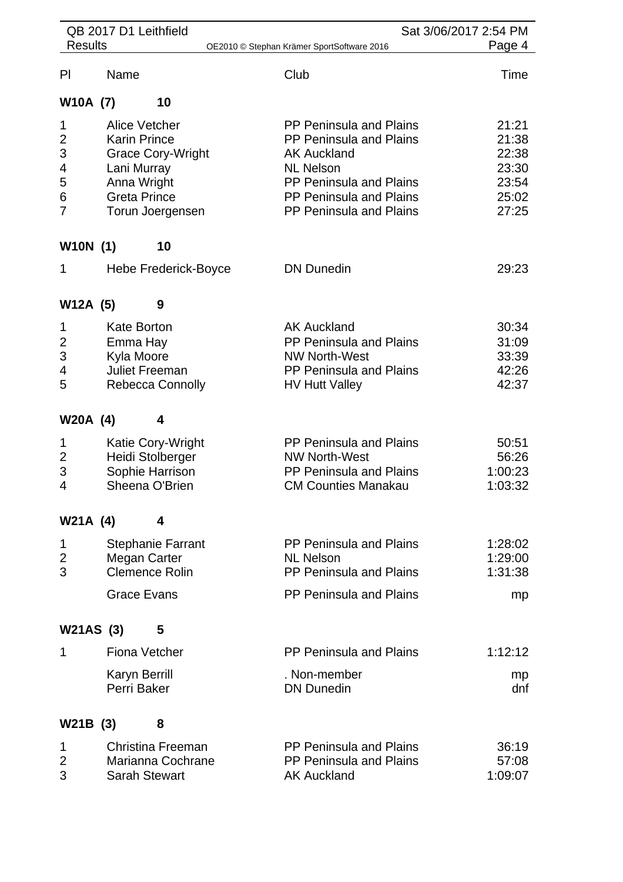|                         | QB 2017 D1 Leithfield |                          |                                            | Sat 3/06/2017 2:54 PM |
|-------------------------|-----------------------|--------------------------|--------------------------------------------|-----------------------|
| <b>Results</b>          |                       |                          | OE2010 © Stephan Krämer SportSoftware 2016 | Page 4                |
| PI                      | Name                  |                          | Club                                       | Time                  |
| W10A (7)                |                       | 10                       |                                            |                       |
| 1                       |                       | Alice Vetcher            | PP Peninsula and Plains                    | 21:21                 |
| 2                       | <b>Karin Prince</b>   |                          | PP Peninsula and Plains                    | 21:38                 |
| 3                       |                       | <b>Grace Cory-Wright</b> | <b>AK Auckland</b>                         | 22:38                 |
| 4                       | Lani Murray           |                          | <b>NL Nelson</b>                           | 23:30                 |
| 5                       | Anna Wright           |                          | PP Peninsula and Plains                    | 23:54                 |
| 6                       | <b>Greta Prince</b>   |                          | PP Peninsula and Plains                    | 25:02                 |
| $\overline{7}$          |                       | Torun Joergensen         | PP Peninsula and Plains                    | 27:25                 |
| <b>W10N</b> (1)         |                       | 10                       |                                            |                       |
| 1                       |                       | Hebe Frederick-Boyce     | <b>DN Dunedin</b>                          | 29:23                 |
| W12A (5)                |                       | 9                        |                                            |                       |
| 1                       | <b>Kate Borton</b>    |                          | <b>AK Auckland</b>                         | 30:34                 |
| $\overline{\mathbf{c}}$ | Emma Hay              |                          | PP Peninsula and Plains                    | 31:09                 |
| 3                       | Kyla Moore            |                          | <b>NW North-West</b>                       | 33:39                 |
| 4                       |                       | <b>Juliet Freeman</b>    | <b>PP Peninsula and Plains</b>             | 42:26                 |
| 5                       |                       | Rebecca Connolly         | <b>HV Hutt Valley</b>                      | 42:37                 |
|                         |                       |                          |                                            |                       |
| W20A (4)                |                       | 4                        |                                            |                       |
| 1                       |                       | Katie Cory-Wright        | PP Peninsula and Plains                    | 50:51                 |
| 2                       |                       | Heidi Stolberger         | <b>NW North-West</b>                       | 56:26                 |
| 3                       |                       | Sophie Harrison          | PP Peninsula and Plains                    | 1:00:23               |
| 4                       |                       | Sheena O'Brien           | <b>CM Counties Manakau</b>                 | 1:03:32               |
| W21A (4)                |                       | 4                        |                                            |                       |
| 1                       |                       | <b>Stephanie Farrant</b> | PP Peninsula and Plains                    | 1:28:02               |
| $\overline{2}$          |                       | Megan Carter             | <b>NL Nelson</b>                           | 1:29:00               |
| 3                       |                       | <b>Clemence Rolin</b>    | PP Peninsula and Plains                    | 1:31:38               |
|                         | <b>Grace Evans</b>    |                          | PP Peninsula and Plains                    | mp                    |
| W21AS (3)               |                       | 5                        |                                            |                       |
| 1                       |                       | <b>Fiona Vetcher</b>     | <b>PP Peninsula and Plains</b>             | 1:12:12               |
|                         | <b>Karyn Berrill</b>  |                          | . Non-member                               | mp                    |
|                         | Perri Baker           |                          | <b>DN Dunedin</b>                          | dnf                   |
| W21B (3)                |                       | 8                        |                                            |                       |
| 1                       |                       | Christina Freeman        | PP Peninsula and Plains                    | 36:19                 |
| 2                       |                       | Marianna Cochrane        | PP Peninsula and Plains                    | 57:08                 |
| 3                       |                       | <b>Sarah Stewart</b>     | <b>AK Auckland</b>                         | 1:09:07               |
|                         |                       |                          |                                            |                       |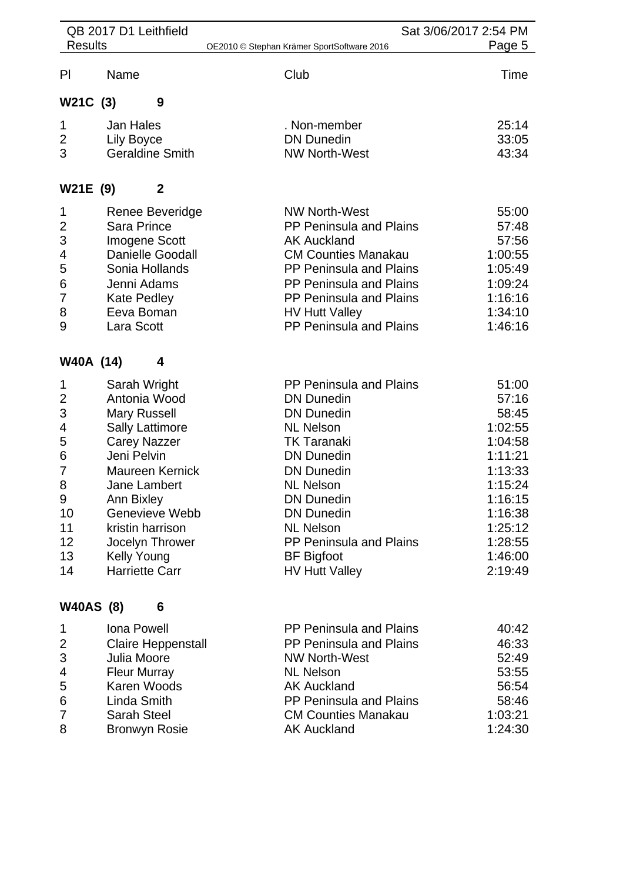| <b>Results</b>   | QB 2017 D1 Leithfield        | OE2010 © Stephan Krämer SportSoftware 2016 | Sat 3/06/2017 2:54 PM<br>Page 5 |
|------------------|------------------------------|--------------------------------------------|---------------------------------|
|                  |                              |                                            |                                 |
| PI               | Name                         | Club                                       | Time                            |
| W21C (3)         | 9                            |                                            |                                 |
| 1                | Jan Hales                    | . Non-member                               | 25:14                           |
| $\overline{2}$   | Lily Boyce                   | <b>DN Dunedin</b>                          | 33:05                           |
| 3                | <b>Geraldine Smith</b>       | <b>NW North-West</b>                       | 43:34                           |
| W21E (9)         | 2                            |                                            |                                 |
| 1                | Renee Beveridge              | <b>NW North-West</b>                       | 55:00                           |
| 2                | <b>Sara Prince</b>           | <b>PP Peninsula and Plains</b>             | 57:48                           |
| 3                | Imogene Scott                | <b>AK Auckland</b>                         | 57:56                           |
| 4                | <b>Danielle Goodall</b>      | <b>CM Counties Manakau</b>                 | 1:00:55                         |
| 5                | Sonia Hollands               | <b>PP Peninsula and Plains</b>             | 1:05:49                         |
| 6                | Jenni Adams                  | PP Peninsula and Plains                    | 1:09:24                         |
| 7                | <b>Kate Pedley</b>           | <b>PP Peninsula and Plains</b>             | 1:16:16                         |
| 8                | Eeva Boman                   | <b>HV Hutt Valley</b>                      | 1:34:10                         |
| 9                | Lara Scott                   | PP Peninsula and Plains                    | 1:46:16                         |
| W40A (14)        | 4                            |                                            |                                 |
| 1                | Sarah Wright                 | <b>PP Peninsula and Plains</b>             | 51:00                           |
| $\overline{2}$   | Antonia Wood                 | <b>DN Dunedin</b>                          | 57:16                           |
| 3                | <b>Mary Russell</b>          | <b>DN Dunedin</b>                          | 58:45                           |
| 4                | <b>Sally Lattimore</b>       | <b>NL Nelson</b>                           | 1:02:55                         |
| 5                | <b>Carey Nazzer</b>          | <b>TK Taranaki</b>                         | 1:04:58                         |
| 6                | Jeni Pelvin                  | <b>DN Dunedin</b>                          | 1:11:21                         |
| 7                | <b>Maureen Kernick</b>       | <b>DN Dunedin</b>                          | 1:13:33                         |
| 8                | Jane Lambert                 | <b>NL Nelson</b>                           | 1:15:24                         |
| 9<br>10          | Ann Bixley<br>Genevieve Webb | <b>DN Dunedin</b><br><b>DN Dunedin</b>     | 1:16:15                         |
| 11               | kristin harrison             | <b>NL Nelson</b>                           | 1:16:38<br>1:25:12              |
| 12               | Jocelyn Thrower              | <b>PP Peninsula and Plains</b>             | 1:28:55                         |
| 13               | Kelly Young                  | <b>BF</b> Bigfoot                          | 1:46:00                         |
| 14               | <b>Harriette Carr</b>        | <b>HV Hutt Valley</b>                      | 2:19:49                         |
| <b>W40AS (8)</b> | 6                            |                                            |                                 |
|                  |                              |                                            |                                 |
| 1                | <b>Iona Powell</b>           | <b>PP Peninsula and Plains</b>             | 40:42                           |
| 2                | <b>Claire Heppenstall</b>    | PP Peninsula and Plains                    | 46:33                           |
| 3                | Julia Moore                  | <b>NW North-West</b>                       | 52:49                           |
| 4                | <b>Fleur Murray</b>          | <b>NL Nelson</b>                           | 53:55                           |

- Karen Woods AK Auckland 56:54 Linda Smith PP Peninsula and Plains 58:46 Proposed CM Counties Manakau 1:03:21<br>
8 Bronwyn Rosie CM Counties Manakau 1:03:21<br>
AK Auckland 1:24:30
- **Bronwyn Rosie**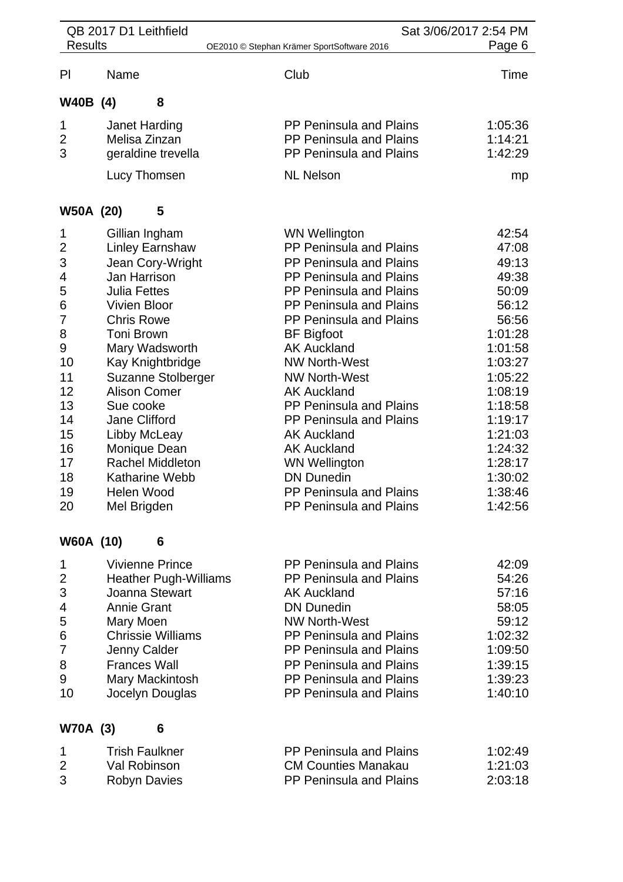|                  | QB 2017 D1 Leithfield        | Sat 3/06/2017 2:54 PM                      |  |         |
|------------------|------------------------------|--------------------------------------------|--|---------|
| <b>Results</b>   |                              | OE2010 © Stephan Krämer SportSoftware 2016 |  | Page 6  |
| PI               | Name                         | Club                                       |  | Time    |
| W40B (4)         | 8                            |                                            |  |         |
| 1                | Janet Harding                | <b>PP Peninsula and Plains</b>             |  | 1:05:36 |
| $\overline{c}$   | Melisa Zinzan                | <b>PP Peninsula and Plains</b>             |  | 1:14:21 |
| 3                | geraldine trevella           | PP Peninsula and Plains                    |  | 1:42:29 |
|                  | Lucy Thomsen                 | <b>NL Nelson</b>                           |  | mp      |
| <b>W50A (20)</b> | 5                            |                                            |  |         |
| 1                | Gillian Ingham               | <b>WN Wellington</b>                       |  | 42:54   |
| $\mathbf{2}$     | <b>Linley Earnshaw</b>       | PP Peninsula and Plains                    |  | 47:08   |
| 3                | Jean Cory-Wright             | <b>PP Peninsula and Plains</b>             |  | 49:13   |
| 4                | Jan Harrison                 | <b>PP Peninsula and Plains</b>             |  | 49:38   |
| 5                | <b>Julia Fettes</b>          | <b>PP Peninsula and Plains</b>             |  | 50:09   |
| $\,6$            | <b>Vivien Bloor</b>          | PP Peninsula and Plains                    |  | 56:12   |
| $\overline{7}$   | <b>Chris Rowe</b>            | PP Peninsula and Plains                    |  | 56:56   |
| 8                | Toni Brown                   | <b>BF</b> Bigfoot                          |  | 1:01:28 |
| 9                | Mary Wadsworth               | <b>AK Auckland</b>                         |  | 1:01:58 |
| 10               | Kay Knightbridge             | <b>NW North-West</b>                       |  | 1:03:27 |
| 11               | Suzanne Stolberger           | <b>NW North-West</b>                       |  | 1:05:22 |
| 12               | <b>Alison Comer</b>          | <b>AK Auckland</b>                         |  | 1:08:19 |
| 13               | Sue cooke                    | <b>PP Peninsula and Plains</b>             |  | 1:18:58 |
| 14               | Jane Clifford                | <b>PP Peninsula and Plains</b>             |  | 1:19:17 |
| 15               | Libby McLeay                 | <b>AK Auckland</b>                         |  | 1:21:03 |
| 16               | Monique Dean                 | <b>AK Auckland</b>                         |  | 1:24:32 |
| 17               | <b>Rachel Middleton</b>      | <b>WN Wellington</b>                       |  | 1:28:17 |
| 18               | <b>Katharine Webb</b>        | <b>DN Dunedin</b>                          |  | 1:30:02 |
| 19               | Helen Wood                   | PP Peninsula and Plains                    |  | 1:38:46 |
| 20               | Mel Brigden                  | <b>PP Peninsula and Plains</b>             |  | 1:42:56 |
| <b>W60A (10)</b> | 6                            |                                            |  |         |
| 1                | <b>Vivienne Prince</b>       | <b>PP Peninsula and Plains</b>             |  | 42:09   |
| $\overline{2}$   | <b>Heather Pugh-Williams</b> | <b>PP Peninsula and Plains</b>             |  | 54:26   |
| 3                | Joanna Stewart               | <b>AK Auckland</b>                         |  | 57:16   |
| 4                | <b>Annie Grant</b>           | <b>DN Dunedin</b>                          |  | 58:05   |
| 5                | Mary Moen                    | <b>NW North-West</b>                       |  | 59:12   |
| 6                | <b>Chrissie Williams</b>     | <b>PP Peninsula and Plains</b>             |  | 1:02:32 |
| 7                | Jenny Calder                 | <b>PP Peninsula and Plains</b>             |  | 1:09:50 |
| 8                | <b>Frances Wall</b>          | <b>PP Peninsula and Plains</b>             |  | 1:39:15 |
| 9                | Mary Mackintosh              | PP Peninsula and Plains                    |  | 1:39:23 |
| 10               | Jocelyn Douglas              | <b>PP Peninsula and Plains</b>             |  | 1:40:10 |
| <b>W70A (3)</b>  | 6                            |                                            |  |         |
|                  |                              |                                            |  |         |

| Trish Faulkner | <b>PP Peninsula and Plains</b> | 1:02:49 |
|----------------|--------------------------------|---------|
| Val Robinson   | <b>CM Counties Manakau</b>     | 1:21:03 |
| Robyn Davies   | <b>PP Peninsula and Plains</b> | 2:03:18 |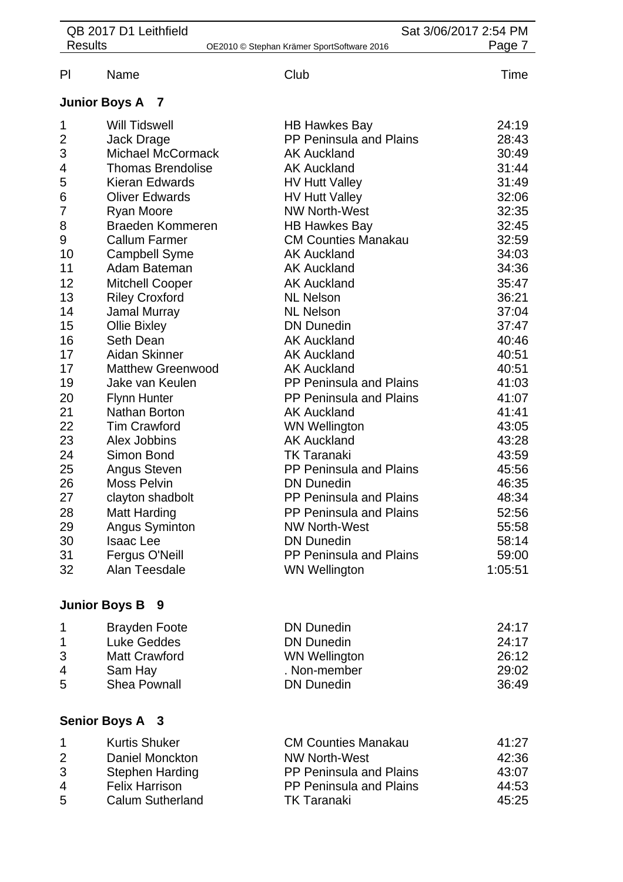| QB 2017 D1 Leithfield<br>Sat 3/06/2017 2:54 PM |                          |                                            |         |
|------------------------------------------------|--------------------------|--------------------------------------------|---------|
| <b>Results</b>                                 |                          | OE2010 © Stephan Krämer SportSoftware 2016 | Page 7  |
| PI                                             | Name                     | Club                                       | Time    |
|                                                | <b>Junior Boys A 7</b>   |                                            |         |
| 1                                              | <b>Will Tidswell</b>     | <b>HB Hawkes Bay</b>                       | 24:19   |
| $\overline{2}$                                 | Jack Drage               | <b>PP Peninsula and Plains</b>             | 28:43   |
| 3                                              | Michael McCormack        | <b>AK Auckland</b>                         | 30:49   |
| 4                                              | <b>Thomas Brendolise</b> | <b>AK Auckland</b>                         | 31:44   |
| 5                                              | Kieran Edwards           | <b>HV Hutt Valley</b>                      | 31:49   |
| 6                                              | <b>Oliver Edwards</b>    | <b>HV Hutt Valley</b>                      | 32:06   |
| 7                                              | Ryan Moore               | <b>NW North-West</b>                       | 32:35   |
| 8                                              | <b>Braeden Kommeren</b>  | <b>HB Hawkes Bay</b>                       | 32:45   |
| 9                                              | <b>Callum Farmer</b>     | <b>CM Counties Manakau</b>                 | 32:59   |
| 10                                             | <b>Campbell Syme</b>     | <b>AK Auckland</b>                         | 34:03   |
| 11                                             | Adam Bateman             | <b>AK Auckland</b>                         | 34:36   |
| 12                                             | <b>Mitchell Cooper</b>   | <b>AK Auckland</b>                         | 35:47   |
| 13                                             | <b>Riley Croxford</b>    | <b>NL Nelson</b>                           | 36:21   |
| 14                                             | Jamal Murray             | <b>NL Nelson</b>                           | 37:04   |
| 15                                             | Ollie Bixley             | <b>DN Dunedin</b>                          | 37:47   |
| 16                                             | Seth Dean                | <b>AK Auckland</b>                         | 40:46   |
| 17                                             | Aidan Skinner            | <b>AK Auckland</b>                         | 40:51   |
| 17                                             | <b>Matthew Greenwood</b> | <b>AK Auckland</b>                         | 40:51   |
| 19                                             | Jake van Keulen          | PP Peninsula and Plains                    | 41:03   |
| 20                                             | <b>Flynn Hunter</b>      | <b>PP Peninsula and Plains</b>             | 41:07   |
| 21                                             | Nathan Borton            | <b>AK Auckland</b>                         | 41:41   |
| 22                                             | <b>Tim Crawford</b>      | <b>WN Wellington</b>                       | 43:05   |
| 23                                             | Alex Jobbins             | <b>AK Auckland</b>                         | 43:28   |
| 24                                             | Simon Bond               | <b>TK Taranaki</b>                         | 43:59   |
| 25                                             | <b>Angus Steven</b>      | PP Peninsula and Plains                    | 45:56   |
| 26                                             | <b>Moss Pelvin</b>       | <b>DN Dunedin</b>                          | 46:35   |
| 27                                             | clayton shadbolt         | PP Peninsula and Plains                    | 48:34   |
| 28                                             | <b>Matt Harding</b>      | PP Peninsula and Plains                    | 52:56   |
| 29                                             | <b>Angus Syminton</b>    | <b>NW North-West</b>                       | 55:58   |
| 30                                             | <b>Isaac Lee</b>         | <b>DN Dunedin</b>                          | 58:14   |
| 31                                             | Fergus O'Neill           | PP Peninsula and Plains                    | 59:00   |
| 32                                             | Alan Teesdale            | <b>WN Wellington</b>                       | 1:05:51 |
|                                                | <b>Junior Boys B 9</b>   |                                            |         |
| 1                                              | <b>Brayden Foote</b>     | <b>DN Dunedin</b>                          | 24:17   |
| 1                                              | <b>Luke Geddes</b>       | <b>DN Dunedin</b>                          | 24:17   |
| 3                                              | <b>Matt Crawford</b>     | <b>WN Wellington</b>                       | 26:12   |
| 4                                              | Sam Hay                  | . Non-member                               | 29:02   |
| 5                                              | <b>Shea Pownall</b>      | <b>DN Dunedin</b>                          | 36:49   |
|                                                |                          |                                            |         |
|                                                | Senior Boys A 3          |                                            |         |

| $\mathbf 1$    | <b>Kurtis Shuker</b>    | <b>CM Counties Manakau</b>     | 41:27 |
|----------------|-------------------------|--------------------------------|-------|
| $\mathcal{P}$  | Daniel Monckton         | <b>NW North-West</b>           | 42:36 |
| 3              | <b>Stephen Harding</b>  | <b>PP Peninsula and Plains</b> | 43:07 |
| $\overline{a}$ | <b>Felix Harrison</b>   | PP Peninsula and Plains        | 44:53 |
| 5              | <b>Calum Sutherland</b> | <b>TK Taranaki</b>             | 45:25 |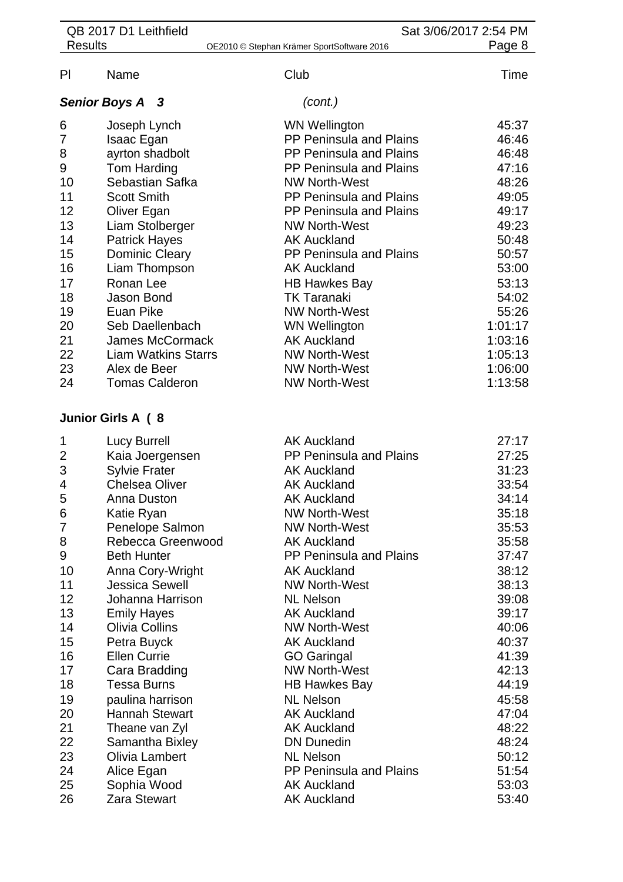| QB 2017 D1 Leithfield |                            |                                            | Sat 3/06/2017 2:54 PM |  |
|-----------------------|----------------------------|--------------------------------------------|-----------------------|--|
| <b>Results</b>        |                            | OE2010 © Stephan Krämer SportSoftware 2016 | Page 8                |  |
| P <sub>1</sub>        | Name                       | Club                                       | Time                  |  |
|                       | <b>Senior Boys A 3</b>     | (cont.)                                    |                       |  |
| 6                     | Joseph Lynch               | <b>WN Wellington</b>                       | 45:37                 |  |
| $\overline{7}$        | Isaac Egan                 | PP Peninsula and Plains                    | 46:46                 |  |
| 8                     | ayrton shadbolt            | PP Peninsula and Plains                    | 46:48                 |  |
| $\boldsymbol{9}$      | Tom Harding                | PP Peninsula and Plains                    | 47:16                 |  |
| 10                    | Sebastian Safka            | <b>NW North-West</b>                       | 48:26                 |  |
| 11                    | <b>Scott Smith</b>         | PP Peninsula and Plains                    | 49:05                 |  |
| 12                    | Oliver Egan                | PP Peninsula and Plains                    | 49:17                 |  |
| 13                    | Liam Stolberger            | <b>NW North-West</b>                       | 49:23                 |  |
| 14                    | <b>Patrick Hayes</b>       | <b>AK Auckland</b>                         | 50:48                 |  |
| 15                    | Dominic Cleary             | PP Peninsula and Plains                    | 50:57                 |  |
| 16                    | Liam Thompson              | <b>AK Auckland</b>                         | 53:00                 |  |
| 17                    | Ronan Lee                  | <b>HB Hawkes Bay</b>                       | 53:13                 |  |
| 18                    | Jason Bond                 | <b>TK Taranaki</b>                         | 54:02                 |  |
| 19                    | Euan Pike                  | <b>NW North-West</b>                       | 55:26                 |  |
| 20                    | Seb Daellenbach            | <b>WN Wellington</b>                       | 1:01:17               |  |
| 21                    | <b>James McCormack</b>     | <b>AK Auckland</b>                         | 1:03:16               |  |
| 22                    | <b>Liam Watkins Starrs</b> | <b>NW North-West</b>                       | 1:05:13               |  |
| 23                    | Alex de Beer               | <b>NW North-West</b>                       | 1:06:00               |  |
| 24                    | <b>Tomas Calderon</b>      | <b>NW North-West</b>                       | 1:13:58               |  |
|                       | Junior Girls A (8          |                                            |                       |  |
| 1                     | <b>Lucy Burrell</b>        | <b>AK Auckland</b>                         | 27:17                 |  |
| 2                     | Kaia Joergensen            | PP Peninsula and Plains                    | 27:25                 |  |
| 3                     | <b>Sylvie Frater</b>       | <b>AK Auckland</b>                         | 31:23                 |  |
| $\overline{4}$        | <b>Chelsea Oliver</b>      | <b>AK Auckland</b>                         | 33:54                 |  |
| 5                     | Anna Duston                | <b>AK Auckland</b>                         | 34:14                 |  |
| 6                     | Katie Ryan                 | <b>NW North-West</b>                       | 35:18                 |  |
| 7                     | Penelope Salmon            | <b>NW North-West</b>                       | 35:53                 |  |
| 8                     | Rebecca Greenwood          | <b>AK Auckland</b>                         | 35:58                 |  |
| 9                     | <b>Beth Hunter</b>         | <b>PP Peninsula and Plains</b>             | 37:47                 |  |
| 10                    | Anna Cory-Wright           | <b>AK Auckland</b>                         | 38:12                 |  |
| 11                    | <b>Jessica Sewell</b>      | <b>NW North-West</b>                       | 38:13                 |  |
| 12                    | Johanna Harrison           | <b>NL Nelson</b>                           | 39:08                 |  |
| 13                    | <b>Emily Hayes</b>         | <b>AK Auckland</b>                         | 39:17                 |  |
| 14                    | <b>Olivia Collins</b>      | <b>NW North-West</b>                       | 40:06                 |  |
| 15                    | Petra Buyck                | <b>AK Auckland</b>                         | 40:37                 |  |
| 16                    | <b>Ellen Currie</b>        | <b>GO Garingal</b>                         | 41:39                 |  |
| 17                    | Cara Bradding              | <b>NW North-West</b>                       | 42:13                 |  |
| 18                    | <b>Tessa Burns</b>         | <b>HB Hawkes Bay</b>                       | 44:19                 |  |
| 19                    | paulina harrison           | <b>NL Nelson</b>                           | 45:58                 |  |
| 20                    | <b>Hannah Stewart</b>      | <b>AK Auckland</b>                         | 47:04                 |  |
| 21                    | Theane van Zyl             | <b>AK Auckland</b>                         | 48:22                 |  |
| 22                    | Samantha Bixley            | <b>DN Dunedin</b>                          | 48:24                 |  |
| 23                    | Olivia Lambert             | <b>NL Nelson</b>                           | 50:12                 |  |
| 24                    | Alice Egan                 | PP Peninsula and Plains                    | 51:54                 |  |
| 25                    | Sophia Wood                | <b>AK Auckland</b>                         | 53:03                 |  |
| 26                    | Zara Stewart               | <b>AK Auckland</b>                         | 53:40                 |  |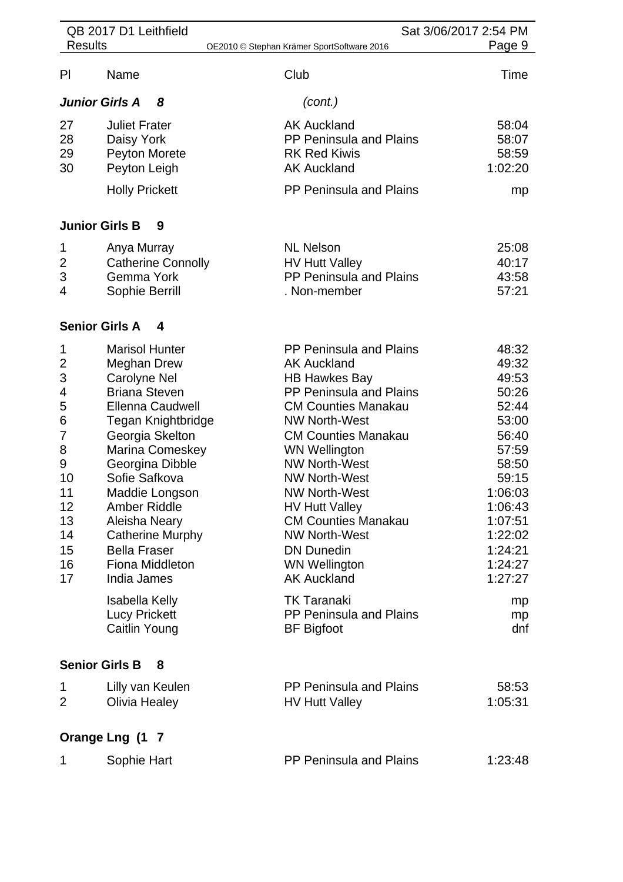|                                                                                                        | QB 2017 D1 Leithfield                                                                                                                                                                                                                                                                                                                                                                                                   | Sat 3/06/2017 2:54 PM                                                                                                                                                                                                                                                                                                                                                                                                                                                                                               |                                                                                                                                                                                        |  |
|--------------------------------------------------------------------------------------------------------|-------------------------------------------------------------------------------------------------------------------------------------------------------------------------------------------------------------------------------------------------------------------------------------------------------------------------------------------------------------------------------------------------------------------------|---------------------------------------------------------------------------------------------------------------------------------------------------------------------------------------------------------------------------------------------------------------------------------------------------------------------------------------------------------------------------------------------------------------------------------------------------------------------------------------------------------------------|----------------------------------------------------------------------------------------------------------------------------------------------------------------------------------------|--|
| <b>Results</b>                                                                                         |                                                                                                                                                                                                                                                                                                                                                                                                                         | OE2010 © Stephan Krämer SportSoftware 2016                                                                                                                                                                                                                                                                                                                                                                                                                                                                          | Page 9                                                                                                                                                                                 |  |
| P                                                                                                      | Name                                                                                                                                                                                                                                                                                                                                                                                                                    | Club                                                                                                                                                                                                                                                                                                                                                                                                                                                                                                                | Time                                                                                                                                                                                   |  |
|                                                                                                        | <b>Junior Girls A</b><br>8                                                                                                                                                                                                                                                                                                                                                                                              | (cont.)                                                                                                                                                                                                                                                                                                                                                                                                                                                                                                             |                                                                                                                                                                                        |  |
| 27<br>28<br>29<br>30                                                                                   | <b>Juliet Frater</b><br>Daisy York<br>Peyton Morete<br>Peyton Leigh<br><b>Holly Prickett</b>                                                                                                                                                                                                                                                                                                                            | <b>AK Auckland</b><br>PP Peninsula and Plains<br><b>RK Red Kiwis</b><br><b>AK Auckland</b><br>PP Peninsula and Plains                                                                                                                                                                                                                                                                                                                                                                                               | 58:04<br>58:07<br>58:59<br>1:02:20<br>mp                                                                                                                                               |  |
|                                                                                                        | <b>Junior Girls B</b><br>9                                                                                                                                                                                                                                                                                                                                                                                              |                                                                                                                                                                                                                                                                                                                                                                                                                                                                                                                     |                                                                                                                                                                                        |  |
| 1<br>$\overline{2}$<br>3<br>4                                                                          | Anya Murray<br><b>Catherine Connolly</b><br>Gemma York<br>Sophie Berrill                                                                                                                                                                                                                                                                                                                                                | <b>NL Nelson</b><br><b>HV Hutt Valley</b><br>PP Peninsula and Plains<br>. Non-member                                                                                                                                                                                                                                                                                                                                                                                                                                | 25:08<br>40:17<br>43:58<br>57:21                                                                                                                                                       |  |
|                                                                                                        | <b>Senior Girls A</b><br>4                                                                                                                                                                                                                                                                                                                                                                                              |                                                                                                                                                                                                                                                                                                                                                                                                                                                                                                                     |                                                                                                                                                                                        |  |
| 1<br>$\overline{2}$<br>3<br>4<br>5<br>6<br>7<br>8<br>9<br>10<br>11<br>12<br>13<br>14<br>15<br>16<br>17 | <b>Marisol Hunter</b><br><b>Meghan Drew</b><br>Carolyne Nel<br><b>Briana Steven</b><br><b>Ellenna Caudwell</b><br>Tegan Knightbridge<br>Georgia Skelton<br>Marina Comeskey<br>Georgina Dibble<br>Sofie Safkova<br>Maddie Longson<br><b>Amber Riddle</b><br>Aleisha Neary<br><b>Catherine Murphy</b><br><b>Bella Fraser</b><br>Fiona Middleton<br>India James<br>Isabella Kelly<br><b>Lucy Prickett</b><br>Caitlin Young | PP Peninsula and Plains<br><b>AK Auckland</b><br><b>HB Hawkes Bay</b><br>PP Peninsula and Plains<br><b>CM Counties Manakau</b><br><b>NW North-West</b><br><b>CM Counties Manakau</b><br><b>WN Wellington</b><br><b>NW North-West</b><br><b>NW North-West</b><br><b>NW North-West</b><br><b>HV Hutt Valley</b><br><b>CM Counties Manakau</b><br><b>NW North-West</b><br><b>DN Dunedin</b><br><b>WN Wellington</b><br><b>AK Auckland</b><br><b>TK Taranaki</b><br><b>PP Peninsula and Plains</b><br><b>BF</b> Bigfoot | 48:32<br>49:32<br>49:53<br>50:26<br>52:44<br>53:00<br>56:40<br>57:59<br>58:50<br>59:15<br>1:06:03<br>1:06:43<br>1:07:51<br>1:22:02<br>1:24:21<br>1:24:27<br>1:27:27<br>mp<br>mp<br>dnf |  |
|                                                                                                        | <b>Senior Girls B</b><br>8                                                                                                                                                                                                                                                                                                                                                                                              |                                                                                                                                                                                                                                                                                                                                                                                                                                                                                                                     |                                                                                                                                                                                        |  |
| 1<br>2                                                                                                 | Lilly van Keulen<br>Olivia Healey                                                                                                                                                                                                                                                                                                                                                                                       | <b>PP Peninsula and Plains</b><br><b>HV Hutt Valley</b>                                                                                                                                                                                                                                                                                                                                                                                                                                                             | 58:53<br>1:05:31                                                                                                                                                                       |  |
|                                                                                                        | Orange Lng (1 7                                                                                                                                                                                                                                                                                                                                                                                                         |                                                                                                                                                                                                                                                                                                                                                                                                                                                                                                                     |                                                                                                                                                                                        |  |
| 1                                                                                                      | Sophie Hart                                                                                                                                                                                                                                                                                                                                                                                                             | <b>PP Peninsula and Plains</b>                                                                                                                                                                                                                                                                                                                                                                                                                                                                                      | 1:23:48                                                                                                                                                                                |  |